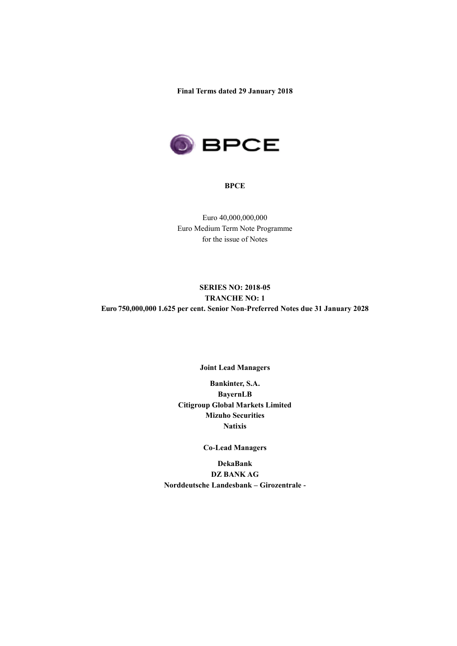**Final Terms dated 29 January 2018**



#### **BPCE**

Euro 40,000,000,000 Euro Medium Term Note Programme for the issue of Notes

# **SERIES NO: 2018-05 TRANCHE NO: 1 Euro 750,000,000 1.625 per cent. Senior Non-Preferred Notes due 31 January 2028**

## **Joint Lead Managers**

**Bankinter, S.A. BayernLB Citigroup Global Markets Limited Mizuho Securities Natixis**

## **Co-Lead Managers**

**DekaBank DZ BANK AG Norddeutsche Landesbank – Girozentrale -**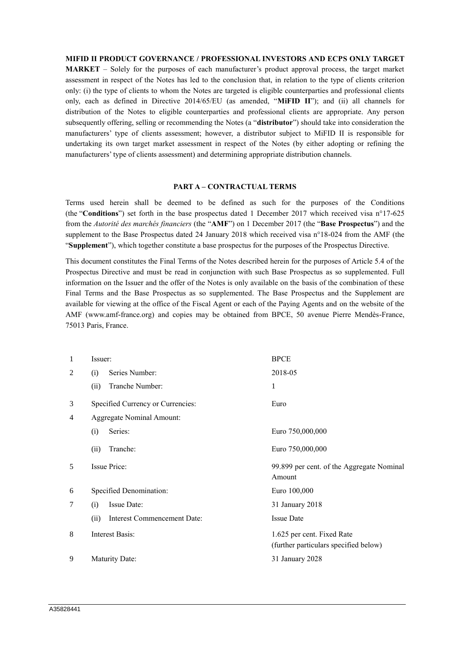#### **MIFID II PRODUCT GOVERNANCE / PROFESSIONAL INVESTORS AND ECPS ONLY TARGET**

**MARKET** – Solely for the purposes of each manufacturer's product approval process, the target market assessment in respect of the Notes has led to the conclusion that, in relation to the type of clients criterion only: (i) the type of clients to whom the Notes are targeted is eligible counterparties and professional clients only, each as defined in Directive 2014/65/EU (as amended, "**MiFID II**"); and (ii) all channels for distribution of the Notes to eligible counterparties and professional clients are appropriate. Any person subsequently offering, selling or recommending the Notes (a "**distributor**") should take into consideration the manufacturers' type of clients assessment; however, a distributor subject to MiFID II is responsible for undertaking its own target market assessment in respect of the Notes (by either adopting or refining the manufacturers' type of clients assessment) and determining appropriate distribution channels.

#### **PART A – CONTRACTUAL TERMS**

Terms used herein shall be deemed to be defined as such for the purposes of the Conditions (the "**Conditions**") set forth in the base prospectus dated 1 December 2017 which received visa n°17-625 from the *Autorité des marchés financiers* (the "**AMF**") on 1 December 2017 (the "**Base Prospectus**") and the supplement to the Base Prospectus dated 24 January 2018 which received visa n°18-024 from the AMF (the "**Supplement**"), which together constitute a base prospectus for the purposes of the Prospectus Directive.

This document constitutes the Final Terms of the Notes described herein for the purposes of Article 5.4 of the Prospectus Directive and must be read in conjunction with such Base Prospectus as so supplemented. Full information on the Issuer and the offer of the Notes is only available on the basis of the combination of these Final Terms and the Base Prospectus as so supplemented. The Base Prospectus and the Supplement are available for viewing at the office of the Fiscal Agent or each of the Paying Agents and on the website of the AMF (www.amf-france.org) and copies may be obtained from BPCE, 50 avenue Pierre Mendès-France, 75013 Paris, France.

| 1 | Issuer:                                    | <b>BPCE</b>                                                         |
|---|--------------------------------------------|---------------------------------------------------------------------|
| 2 | Series Number:<br>(i)                      | 2018-05                                                             |
|   | Tranche Number:<br>(ii)                    | 1                                                                   |
| 3 | Specified Currency or Currencies:          | Euro                                                                |
| 4 | Aggregate Nominal Amount:                  |                                                                     |
|   | Series:<br>(i)                             | Euro 750,000,000                                                    |
|   | Tranche:<br>(ii)                           | Euro 750,000,000                                                    |
|   |                                            |                                                                     |
| 5 | Issue Price:                               | 99.899 per cent. of the Aggregate Nominal<br>Amount                 |
| 6 | Specified Denomination:                    | Euro 100,000                                                        |
| 7 | Issue Date:<br>(i)                         | 31 January 2018                                                     |
|   | <b>Interest Commencement Date:</b><br>(ii) | <b>Issue Date</b>                                                   |
| 8 | Interest Basis:                            | 1.625 per cent. Fixed Rate<br>(further particulars specified below) |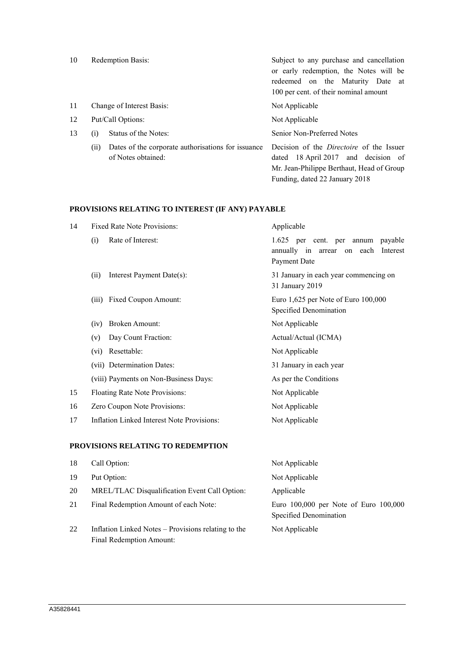| 10 | <b>Redemption Basis:</b> |                                                    | Subject to any purchase and cancellation        |
|----|--------------------------|----------------------------------------------------|-------------------------------------------------|
|    |                          |                                                    | or early redemption, the Notes will be          |
|    |                          |                                                    | redeemed on the Maturity Date at                |
|    |                          |                                                    | 100 per cent. of their nominal amount           |
| 11 |                          | Change of Interest Basis:                          | Not Applicable                                  |
| 12 |                          | Put/Call Options:                                  | Not Applicable                                  |
| 13 | (i)                      | Status of the Notes:                               | Senior Non-Preferred Notes                      |
|    | (11)                     | Dates of the corporate authorisations for issuance | Decision of the <i>Directoire</i> of the Issuer |
|    |                          | of Notes obtained:                                 | dated 18 April 2017 and decision of             |
|    |                          |                                                    | Mr. Jean-Philippe Berthaut, Head of Group       |

Funding, dated 22 January 2018

# **PROVISIONS RELATING TO INTEREST (IF ANY) PAYABLE**

| 14 | <b>Fixed Rate Note Provisions:</b>                | Applicable                                                                                     |
|----|---------------------------------------------------|------------------------------------------------------------------------------------------------|
|    | Rate of Interest:<br>(i)                          | 1.625 per cent. per annum<br>payable<br>annually in arrear<br>on each Interest<br>Payment Date |
|    | Interest Payment Date(s):<br>(ii)                 | 31 January in each year commencing on<br>31 January 2019                                       |
|    | Fixed Coupon Amount:<br>(iii)                     | Euro $1,625$ per Note of Euro $100,000$<br>Specified Denomination                              |
|    | <b>Broken Amount:</b><br>(iv)                     | Not Applicable                                                                                 |
|    | Day Count Fraction:<br>(v)                        | Actual/Actual (ICMA)                                                                           |
|    | Resettable:<br>(vi)                               | Not Applicable                                                                                 |
|    | (vii) Determination Dates:                        | 31 January in each year                                                                        |
|    | (viii) Payments on Non-Business Days:             | As per the Conditions                                                                          |
| 15 | Floating Rate Note Provisions:                    | Not Applicable                                                                                 |
| 16 | Zero Coupon Note Provisions:                      | Not Applicable                                                                                 |
| 17 | <b>Inflation Linked Interest Note Provisions:</b> | Not Applicable                                                                                 |
|    |                                                   |                                                                                                |

### **PROVISIONS RELATING TO REDEMPTION**

| 18 | Call Option:                                                                    | Not Applicable                                                  |
|----|---------------------------------------------------------------------------------|-----------------------------------------------------------------|
| 19 | Put Option:                                                                     | Not Applicable                                                  |
| 20 | MREL/TLAC Disqualification Event Call Option:                                   | Applicable                                                      |
| 21 | Final Redemption Amount of each Note:                                           | Euro 100,000 per Note of Euro 100,000<br>Specified Denomination |
| 22 | Inflation Linked Notes – Provisions relating to the<br>Final Redemption Amount: | Not Applicable                                                  |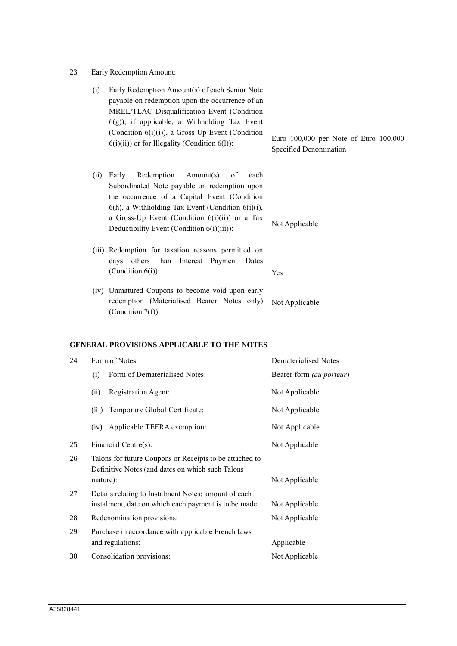23 Early Redemption Amount:

| (i)  | Early Redemption Amount(s) of each Senior Note<br>payable on redemption upon the occurrence of an<br>MREL/TLAC Disqualification Event (Condition<br>$6(g)$ ), if applicable, a Withholding Tax Event<br>(Condition $6(i)(i)$ ), a Gross Up Event (Condition<br>$6(i)(ii)$ or for Illegality (Condition $6(l)$ ): | Euro 100,000 per Note of Euro 100,000<br>Specified Denomination |
|------|------------------------------------------------------------------------------------------------------------------------------------------------------------------------------------------------------------------------------------------------------------------------------------------------------------------|-----------------------------------------------------------------|
| (ii) | Redemption<br>Amount(s) of<br>Early<br>each<br>Subordinated Note payable on redemption upon<br>the occurrence of a Capital Event (Condition<br>$6(h)$ , a Withholding Tax Event (Condition $6(i)(i)$ ,<br>a Gross-Up Event (Condition $6(i)(ii)$ ) or a Tax<br>Deductibility Event (Condition 6(i)(iii)):        | Not Applicable                                                  |
|      | (iii) Redemption for taxation reasons permitted on<br>days others than Interest Payment Dates<br>(Condition $6(i)$ ):                                                                                                                                                                                            | Yes                                                             |
|      | (iv) Unmatured Coupons to become void upon early<br>redemption (Materialised Bearer Notes only)<br>(Condition $7(f)$ ):                                                                                                                                                                                          | Not Applicable                                                  |

# **GENERAL PROVISIONS APPLICABLE TO THE NOTES**

| 24 | Form of Notes:                                                                                                | Dematerialised Notes     |
|----|---------------------------------------------------------------------------------------------------------------|--------------------------|
|    | Form of Dematerialised Notes:<br>(i)                                                                          | Bearer form (au porteur) |
|    | <b>Registration Agent:</b><br>(ii)                                                                            | Not Applicable           |
|    | (iii)<br>Temporary Global Certificate:                                                                        | Not Applicable           |
|    | Applicable TEFRA exemption:<br>(iv)                                                                           | Not Applicable           |
| 25 | Financial Centre(s):                                                                                          | Not Applicable           |
| 26 | Talons for future Coupons or Receipts to be attached to<br>Definitive Notes (and dates on which such Talons   |                          |
|    | mature):                                                                                                      | Not Applicable           |
| 27 | Details relating to Instalment Notes: amount of each<br>instalment, date on which each payment is to be made: | Not Applicable           |
| 28 | Redenomination provisions:                                                                                    | Not Applicable           |
| 29 | Purchase in accordance with applicable French laws<br>and regulations:                                        | Applicable               |
| 30 | Consolidation provisions:                                                                                     | Not Applicable           |
|    |                                                                                                               |                          |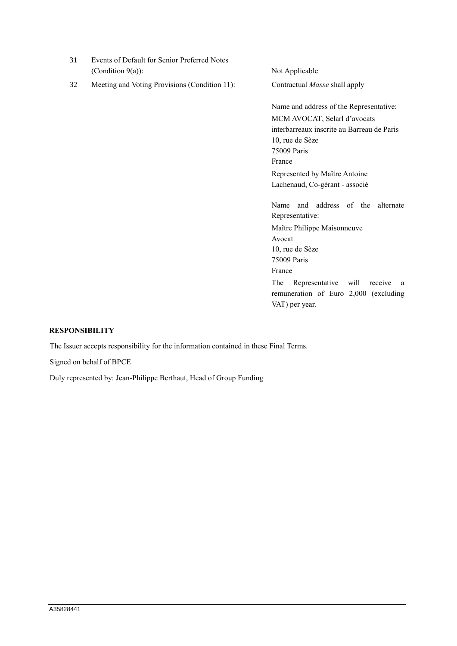| 31 | Events of Default for Senior Preferred Notes<br>(Condition $9(a)$ ): | Not Applicable                                                                                                                                                                                                         |
|----|----------------------------------------------------------------------|------------------------------------------------------------------------------------------------------------------------------------------------------------------------------------------------------------------------|
| 32 | Meeting and Voting Provisions (Condition 11):                        | Contractual Masse shall apply                                                                                                                                                                                          |
|    |                                                                      | Name and address of the Representative:<br>MCM AVOCAT, Selarl d'avocats<br>interbarreaux inscrite au Barreau de Paris<br>10, rue de Sèze<br>75009 Paris<br>France<br>Represented by Maître Antoine                     |
|    |                                                                      | Lachenaud, Co-gérant - associé<br>and address of the<br>Name<br>alternate<br>Representative:<br>Maître Philippe Maisonneuve<br>Avocat<br>10, rue de Sèze<br>75009 Paris<br>France<br>The Depresentative will reserve a |

The Representative will receive a remuneration of Euro 2,000 (excluding VAT) per year.

## **RESPONSIBILITY**

The Issuer accepts responsibility for the information contained in these Final Terms.

Signed on behalf of BPCE

Duly represented by: Jean-Philippe Berthaut, Head of Group Funding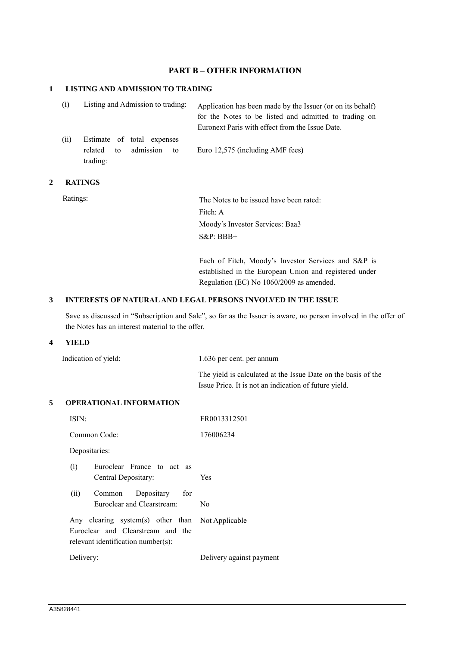# **PART B – OTHER INFORMATION**

## **1 LISTING AND ADMISSION TO TRADING**

| Listing and Admission to trading:<br>(i) |                                                                            | Application has been made by the Issuer (or on its behalf)<br>for the Notes to be listed and admitted to trading on |
|------------------------------------------|----------------------------------------------------------------------------|---------------------------------------------------------------------------------------------------------------------|
|                                          |                                                                            | Euronext Paris with effect from the Issue Date.                                                                     |
| (ii)                                     | Estimate of total expenses<br>admission<br>related<br>to<br>tο<br>trading: | Euro 12,575 (including AMF fees)                                                                                    |

## **2 RATINGS**

Ratings: The Notes to be issued have been rated: Fitch: A Moody's Investor Services: Baa3 S&P: BBB+

> Each of Fitch, Moody's Investor Services and S&P is established in the European Union and registered under Regulation (EC) No 1060/2009 as amended.

## **3 INTERESTS OF NATURAL AND LEGAL PERSONS INVOLVED IN THE ISSUE**

Save as discussed in "Subscription and Sale", so far as the Issuer is aware, no person involved in the offer of the Notes has an interest material to the offer.

#### **4 YIELD**

| Indication of yield: | 1.636 per cent. per annum                                     |
|----------------------|---------------------------------------------------------------|
|                      | The yield is calculated at the Issue Date on the basis of the |
|                      | Issue Price. It is not an indication of future yield.         |

#### **5 OPERATIONAL INFORMATION**

| ISIN:                                                                                                                       | FR0013312501             |
|-----------------------------------------------------------------------------------------------------------------------------|--------------------------|
| Common Code:                                                                                                                | 176006234                |
| Depositaries:                                                                                                               |                          |
| Euroclear France to act as<br>(i)<br>Central Depositary:                                                                    | <b>Yes</b>               |
| (ii)<br>Depositary for<br>Common<br>Euroclear and Clearstream:                                                              | N <sub>0</sub>           |
| Any clearing system(s) other than Not Applicable<br>Euroclear and Clearstream and the<br>relevant identification number(s): |                          |
| Delivery:                                                                                                                   | Delivery against payment |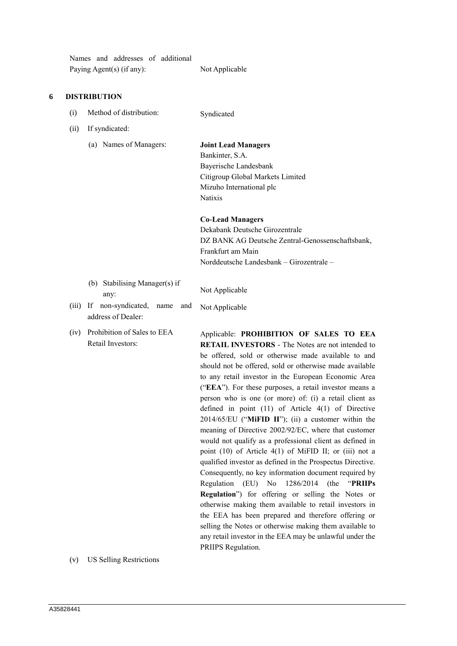Names and addresses of additional Paying Agent(s) (if any): Not Applicable

### **6 DISTRIBUTION**

- (i) Method of distribution: Syndicated
- (ii) If syndicated:
	- (a) Names of Managers: **Joint Lead Managers**

Bankinter, S.A. Bayerische Landesbank Citigroup Global Markets Limited Mizuho International plc Natixis

**Co-Lead Managers**

Dekabank Deutsche Girozentrale DZ BANK AG Deutsche Zentral-Genossenschaftsbank, Frankfurt am Main Norddeutsche Landesbank – Girozentrale –

(b) Stabilising Manager(s) if any:

Not Applicable

- (iii) If non-syndicated, name and address of Dealer: Not Applicable
- (iv) Prohibition of Sales to EEA Retail Investors:

Applicable: **PROHIBITION OF SALES TO EEA RETAIL INVESTORS** - The Notes are not intended to be offered, sold or otherwise made available to and should not be offered, sold or otherwise made available to any retail investor in the European Economic Area ("**EEA**"). For these purposes, a retail investor means a person who is one (or more) of: (i) a retail client as defined in point (11) of Article 4(1) of Directive 2014/65/EU ("**MiFID II**"); (ii) a customer within the meaning of Directive 2002/92/EC, where that customer would not qualify as a professional client as defined in point (10) of Article 4(1) of MiFID II; or (iii) not a qualified investor as defined in the Prospectus Directive. Consequently, no key information document required by Regulation (EU) No 1286/2014 (the "**PRIIPs Regulation**") for offering or selling the Notes or otherwise making them available to retail investors in the EEA has been prepared and therefore offering or selling the Notes or otherwise making them available to any retail investor in the EEA may be unlawful under the PRIIPS Regulation.

(v) US Selling Restrictions